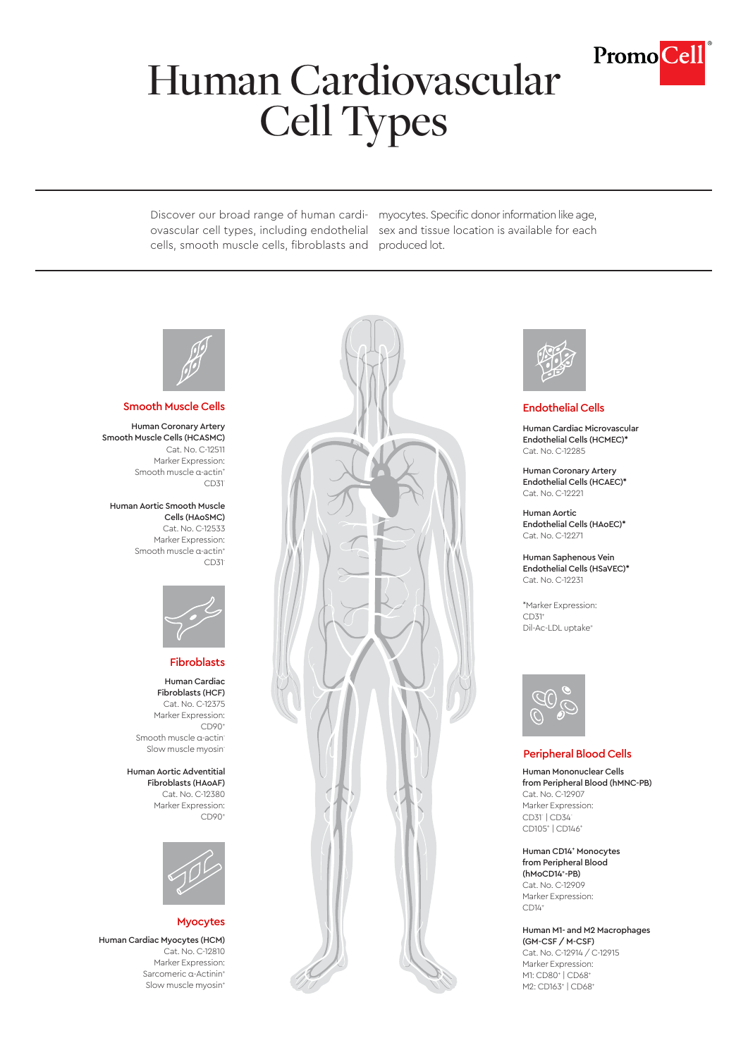

# Human Cardiovascular Cell Types

ovascular cell types, including endothelial sex and tissue location is available for each cells, smooth muscle cells, fibroblasts and produced lot.

Discover our broad range of human cardi-myocytes. Specific donor information like age,



Human Coronary Artery Smooth Muscle Cells (HCASMC) Cat. No. C-12511 Marker Expression: Smooth muscle α-actin<sup>+</sup> CD31-

Human Aortic Smooth Muscle Cells (HAoSMC)

Cat. No. C-12533 Marker Expression: Smooth muscle α-actin<sup>+</sup> CD31-



## Fibroblasts

Human Cardiac Fibroblasts (HCF) Cat. No. C-12375 Marker Expression: CD90+ Smooth muscle α-actin-Slow muscle myosin-

Human Aortic Adventitial Fibroblasts (HAoAF) Cat. No. C-12380 Marker Expression: CD90+



## Myocytes

Human Cardiac Myocytes (HCM) Cat. No. C-12810 Marker Expression: Sarcomeric α-Actinin+ Slow muscle myosin<sup>+</sup>





Human Cardiac Microvascular Endothelial Cells (HCMEC)\* Cat. No. C-12285

Human Coronary Artery Endothelial Cells (HCAEC)\* Cat. No. C-12221

Human Aortic Endothelial Cells (HAoEC)\* Cat. No. C-12271

Human Saphenous Vein Endothelial Cells (HSaVEC)\* Cat. No. C-12231

\*Marker Expression:  $CD31<sup>+</sup>$ Dil-Ac-LDL uptake+



## Peripheral Blood Cells

Human Mononuclear Cells from Peripheral Blood (hMNC-PB) Cat. No. C-12907 Marker Expression: CD31- | CD34- CD105+ | CD146+

Human CD14+ Monocytes from Peripheral Blood (hMoCD14+ -PB) Cat. No. C-12909 Marker Expression: CD14+

Human M1- and M2 Macrophages (GM-CSF / M-CSF) Cat. No. C-12914 / C-12915 Marker Expression: M1: CD80<sup>+</sup> | CD68<sup>+</sup> M2: CD163<sup>+</sup> | CD68<sup>+</sup>